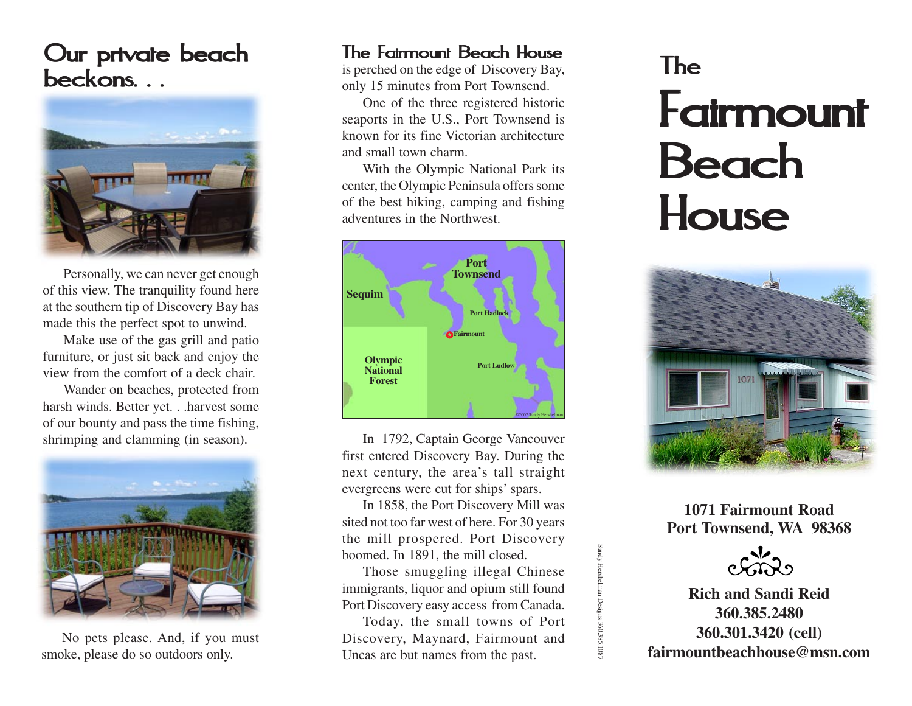## Our private beach beckons. . .



Personally, we can never get enough of this view. The tranquility found here at the southern tip of Discovery Bay has made this the perfect spot to unwind.

Make use of the gas grill and patio furniture, or just sit back and enjoy the view from the comfort of a deck chair.

Wander on beaches, protected from harsh winds. Better yet. . .harvest some of our bounty and pass the time fishing, shrimping and clamming (in season).



No pets please. And, if you must smoke, please do so outdoors only.

## The Fairmount Beach House

is perched on the edge of Discovery Bay, only 15 minutes from Port Townsend.

One of the three registered historic seaports in the U.S., Port Townsend is known for its fine Victorian architecture and small town charm.

With the Olympic National Park its center, the Olympic Peninsula offers some of the best hiking, camping and fishing adventures in the Northwest.



In 1792, Captain George Vancouver first entered Discovery Bay. During the next century, the area's tall straight evergreens were cut for ships' spars.

In 1858, the Port Discovery Mill was sited not too far west of here. For 30 years the mill prospered. Port Discovery boomed. In 1891, the mill closed.

Those smuggling illegal Chinese immigrants, liquor and opium still found Port Discovery easy access from Canada. Sandy Hershelman Designs 360.385.1087

1 Designs 360.385.108

Today, the small towns of Port Discovery, Maynard, Fairmount and Uncas are but names from the past.

## The **Fairmount** Beach **House**



**1071 Fairmount Road Port Townsend, WA 98368**



**Rich and Sandi Reid 360.385.2480 360.301.3420 (cell) fairmountbeachhouse@msn.com**